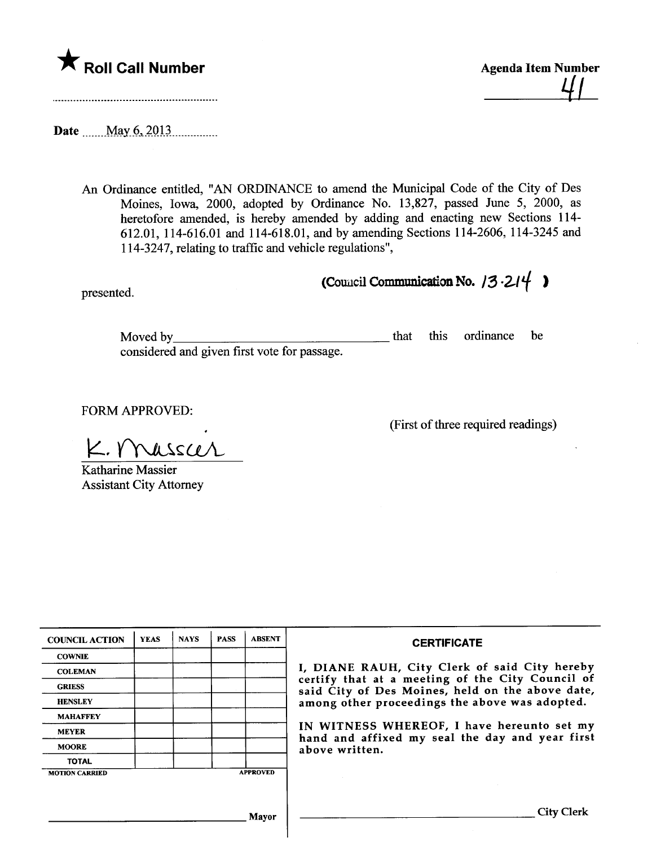

 $41$ 

Date  $\frac{\text{May }6,2013}{\text{May }6,2013}$ 

An Ordinance entitled, "AN ORDINANCE to amend the Muncipal Code of the City of Des Moines, Iowa, 2000, adopted by Ordinance No. 13,827, passed June 5, 2000, as heretofore amended, is hereby amended by adding and enacting new Sections 114- 612.01, 114-616.01 and 114-618.01, and by amending Sections 114-2606, 114-3245 and 114-3247, relating to traffc and vehicle regulations",

presented. (Council Communication No.  $13.214$ )

Moved by considered and given first vote for passage. that this ordinance be

FORM APPROVED:

(First of three required readings)

 $K. V$ Nusscer Katharine Massier

Assistant City Attorney

| <b>COUNCIL ACTION</b> | <b>YEAS</b> | <b>NAYS</b> | <b>PASS</b> | <b>ABSENT</b>   | <b>CERTIFICATE</b>                                                                                                                                                                                                                                                                                                         |
|-----------------------|-------------|-------------|-------------|-----------------|----------------------------------------------------------------------------------------------------------------------------------------------------------------------------------------------------------------------------------------------------------------------------------------------------------------------------|
| <b>COWNIE</b>         |             |             |             |                 | I, DIANE RAUH, City Clerk of said City hereby<br>certify that at a meeting of the City Council of<br>said City of Des Moines, held on the above date,<br>among other proceedings the above was adopted.<br>IN WITNESS WHEREOF, I have hereunto set my<br>hand and affixed my seal the day and year first<br>above written. |
| <b>COLEMAN</b>        |             |             |             |                 |                                                                                                                                                                                                                                                                                                                            |
| <b>GRIESS</b>         |             |             |             |                 |                                                                                                                                                                                                                                                                                                                            |
| <b>HENSLEY</b>        |             |             |             |                 |                                                                                                                                                                                                                                                                                                                            |
| <b>MAHAFFEY</b>       |             |             |             |                 |                                                                                                                                                                                                                                                                                                                            |
| <b>MEYER</b>          |             |             |             |                 |                                                                                                                                                                                                                                                                                                                            |
| <b>MOORE</b>          |             |             |             |                 |                                                                                                                                                                                                                                                                                                                            |
| <b>TOTAL</b>          |             |             |             |                 |                                                                                                                                                                                                                                                                                                                            |
| <b>MOTION CARRIED</b> |             |             |             | <b>APPROVED</b> |                                                                                                                                                                                                                                                                                                                            |
|                       |             |             |             |                 |                                                                                                                                                                                                                                                                                                                            |
|                       |             |             |             | Mavor           | City                                                                                                                                                                                                                                                                                                                       |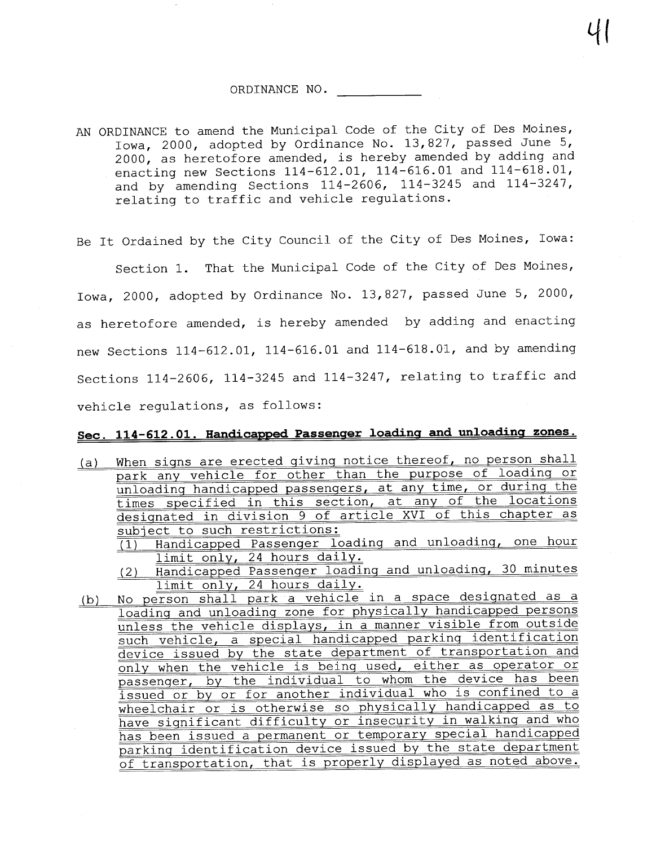#### ORDINANCE NO.

AN ORDINANCE to amend the Municipal Code of the City of Des Moines, Iowa, 2000, adopted by Ordinance No. 13,827, passed June 5, 2000, as heretofore amended, is hereby amended by adding and enacting new Sections 114-612.01, 114-616.01 and 114-618.01, and by amending Sections  $114-2606$ ,  $114-3245$  and  $114-3247$ , relating to traffic and vehicle regulations.

Be It Ordained by the City Council of the City of Des Moines, Iowa:

Section 1. That the Municipal Code of the City of Des Moines, Iowa, 2000, adopted by Ordinance No. 13,827, passed June 5, 2000, as heretofore amended, is hereby amended by adding and enacting new Sections 114-612.01, 114-616.01 and 114-618.01, and by amending Sections 114-2606, 114-3245 and 114-3247, relating to traffic and vehicle regulations, as follows:

# Sec. 114-612.01. Handicapped Passenger loading and unloading zones.

(a) When signs are erected giving notice thereof, no person shall park any vehicle for other than the purpose of loadinq or unloading handicapped passengers, at any time, or during the times specified in this section, at any of the locations desiqnated in division 9 of article XVI of this chapter as subject to such restrictions:

(1) Handicapped Passenqer loadinq and unloadinq, one hour limit only, 24 hours daily.

(2) Handicapped Passenqer loadinq and unloadinq, 30 minutes limit only, 24 hours daily.

(b) No person shall park. a vehicle in a space desiqnated as a loadinq and unloadinq zone for physically handicapped persons unless the vehicle displays, in a manner visible from outside such vehicle, a special handicapped parkinq identification device issued by the state department of transportation and only when the vehicle is being used, either as operator or passenger, by the individual to whom the device has been issued or by or for another individual who is confined to a wheelchair or is otherwise so physically handicapped as to have siqnificant difficulty or insecurity in walkinq and who has been issued a permanent or temporary special handicapped parkinq identification device issued by the state department of transportation, that is properly displayed as noted above.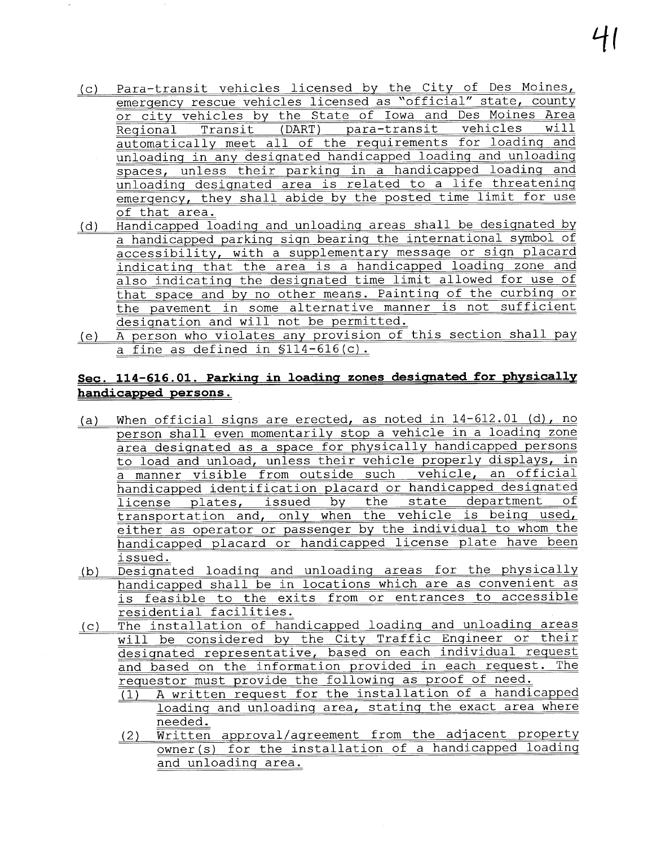- (c) Para-transit vehicles licensed by the City of Des Moines, emergency rescue vehicles licensed as "official" state, county<br>or city vehicles by the State of Iowa and Des Moines Area <u>or city vehicles by the State of Iowa and Des Moines Area</u><br>Regional Transit (DART) para-transit vehicles will <u>automatically meet all of the requirements for loading and</u> unloadinq in any desiqnated handicapped loadinq and unloadinq spaces, unless their parkinq in a handicapped loadinq and unloadinq desiqnated area is related to a life threateninq emergency, they shall abide by the posted time limit for use of that area.
- (d) Handicapped loadinq and unloadinq areas shall be desiqnated by a handicapped parking sign bearing the international symbol of accessibility, with a supplementary message or sign placard indicatinq that the area is a handicapped loadinq zone and also indicatinq the desiqnated time limit allowed for use of that space and by no other means. Paintinq of the curbinq or the pavement in some alternative manner is not sufficient designation and will not be permitted.
- (e) A person who violates any provision of this section shall pay a fine as defined in §114-616 (c) .

## Sec. 114-616.01. Parking in loading zones designated for physically handicapped persons.

- (a) When official siqns are erected, as noted in 14-612.01 (d), no person shall even momentarily stop a vehicle in a loadinq zone area desiqnated as a space for physically handicapped persons to load and unload, unless their vehicle properly displays, in a manner visible from outside such vehicle, an official handicapped identification placard or handicapped designated<br>license plates, issued by the state department of license plates, issued by the transportation and, only when the vehicle is beinq used, either as operator or passenger by the individual to whom the handicapped placard or handicapped license plate have been issued.
- (b) Desiqnated loadinq and unloadinq areas for the physically handicapped shall be in locations which are as convenient as is feasible to the exits from or entrances to accessible residential facilities.
- (c) The installation of handicapped loadinq and unloadinq areas will be considered by the City Traffic Engineer or their desiqnated representative, based on each individual request and based on the information provided in each request. The requestor must provide the following as proof of need.<br>(1) A written request for the installation of a handid
	- A written request for the installation of a handicapped loadinq and unloadinq area, statinq the exact area where needed.
	- (2) Written approval/agreement from the adjacent property owner (s) for the installation of a handicapped loadinq and unloadinq area.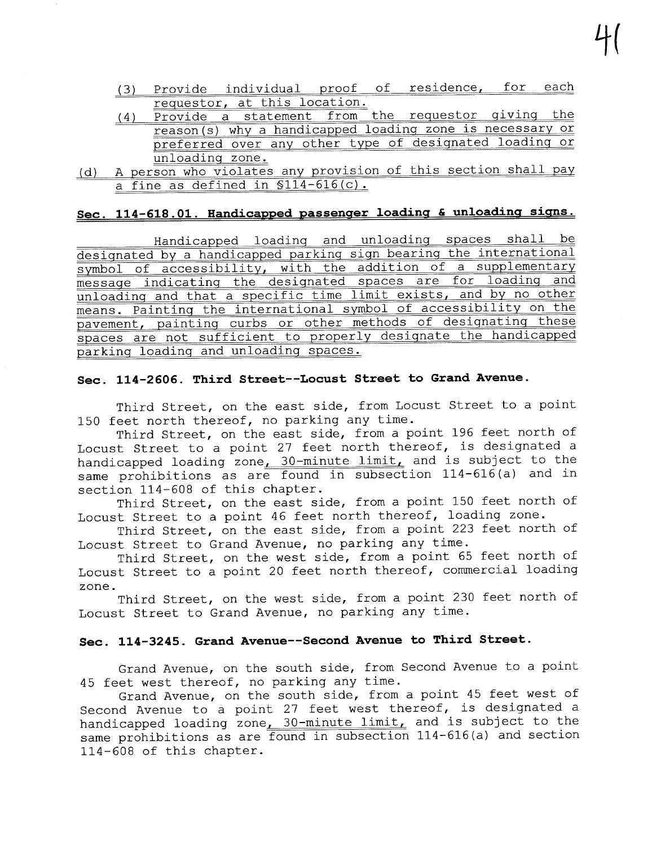- (3) Provide individual proof of residence, for each requestor, at this location.
- $(4)$  Provide a statement from the requestor giving the reason (s) why a handicapped loadinq zone is necessary or preferred over any other type of designated loading or unloadinq zone.
- (d) A person who violates any provision of this section shall pay a fine as defined in  $$114-616(c)$ .

## Sec. 114-618.01. Handicapped passenger loading & unloading signs.

Handicapped loadinq and unloadinq spaces shall be desiqnated by a handicapped parkinq siqn bearinq the international symbol of accessibility, with the addition of a supplementary message indicating the designated spaces are for loading and unloading and that a specific time limit exists, and by no other means. Painting the international symbol of accessibility on the pavement, paintinq curbs or other methods of desiqnatinq these spaces are not sufficient to properly desiqnate the handicapped parkinq loadinq and unloadinq spaces.

#### Sec. 114-2606. Third Street--Locust Street to Grand Avenue.

Third Street, on the east side, from Locust Street to a point 150 feet north thereof, no parking any time.

Third Street, on the east side, from a point 196 feet north of Locust Street to a point 27 feet north thereof, is designated a handicapped loading zone<u>, 30-minute limit,</u> and is subject to the same prohibitions as are found in subsection 114-616 (a) and in section 114-608 of this chapter.

Third Street, on the east side, from a point 150 feet north of Locust Street to a point 46 feet north thereof, loading zone.

Third Street, on the east side, from a point 223 feet north of Locust Street to Grand Avenue, no parking any time.

Third Street, on the west side, from a point 65 feet north of Locust Street to a point 20 feet north thereof, commercial loading zone.

Third Street, on the west side, from a point 230 feet north of Locust Street to Grand Avenue, no parking any time.

### Sec. 114-3245. Grand Avenue--Second Avenue to Third Street.

Grand Avenue, on the south side, from Second Avenue to a point 45 feet west thereof, no parking any time.

Grand Avenue, on the south side, from a point 45 feet west of Second Avenue to a point 27 feet west thereof, is designated a handicapped loading zone $\frac{30-\text{minute limit}}{\text{limit}}$  and is subject to the same prohibitions as are found in subsection 114-616 (a) and section 114-608 of this chapter.